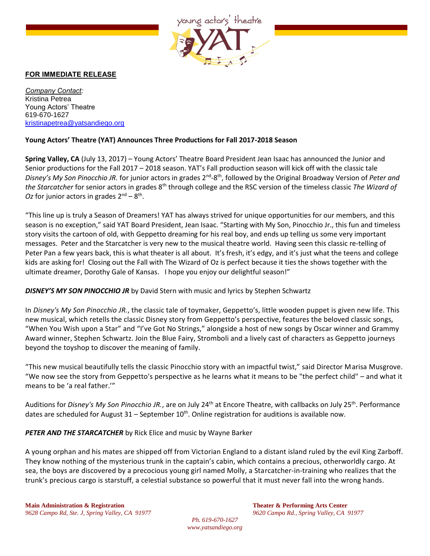

## FOR IMMEDIATE RELEASE

*Company Contact:* Kristina Petrea Young Actors' Theatre 619-670-1627 [kristinapetrea@yatsandiego.org](mailto:kristinapetrea@yatsandiego.org)

## **Young Actors' Theatre (YAT) Announces Three Productions for Fall 2017-2018 Season**

**Spring Valley, CA** (July 13, 2017) – Young Actors' Theatre Board President Jean Isaac has announced the Junior and Senior productions for the Fall 2017 – 2018 season. YAT's Fall production season will kick off with the classic tale Disney's My Son Pinocchio JR. for junior actors in grades 2<sup>nd</sup>-8<sup>th</sup>, followed by the Original Broadway Version of Peter and *the Starcatcher* for senior actors in grades 8th through college and the RSC version of the timeless classic *The Wizard of*  Oz for junior actors in grades  $2<sup>nd</sup> - 8<sup>th</sup>$ .

"This line up is truly a Season of Dreamers! YAT has always strived for unique opportunities for our members, and this season is no exception," said YAT Board President, Jean Isaac. "Starting with My Son, Pinocchio Jr., this fun and timeless story visits the cartoon of old, with Geppetto dreaming for his real boy, and ends up telling us some very important messages. Peter and the Starcatcher is very new to the musical theatre world. Having seen this classic re-telling of Peter Pan a few years back, this is what theater is all about. It's fresh, it's edgy, and it's just what the teens and college kids are asking for! Closing out the Fall with The Wizard of Oz is perfect because it ties the shows together with the ultimate dreamer, Dorothy Gale of Kansas. I hope you enjoy our delightful season!"

## *DISNEY'S MY SON PINOCCHIO JR* by David Stern with music and lyrics by Stephen Schwartz

In *Disney's My Son Pinocchio JR.*, the classic tale of toymaker, Geppetto's, little wooden puppet is given new life. This new musical, which retells the classic Disney story from Geppetto's perspective, features the beloved classic songs, "When You Wish upon a Star" and "I've Got No Strings," alongside a host of new songs by Oscar winner and Grammy Award winner, Stephen Schwartz. Join the Blue Fairy, Stromboli and a lively cast of characters as Geppetto journeys beyond the toyshop to discover the meaning of family.

"This new musical beautifully tells the classic Pinocchio story with an impactful twist," said Director Marisa Musgrove. "We now see the story from Geppetto's perspective as he learns what it means to be "the perfect child" – and what it means to be 'a real father.'"

Auditions for *Disney's My Son Pinocchio JR.*, are on July 24th at Encore Theatre, with callbacks on July 25th. Performance dates are scheduled for August  $31$  – September  $10<sup>th</sup>$ . Online registration for auditions is available now.

*PETER AND THE STARCATCHER* by Rick Elice and music by Wayne Barker

A young orphan and his mates are shipped off from Victorian England to a distant island ruled by the evil King Zarboff. They know nothing of the mysterious trunk in the captain's cabin, which contains a precious, otherworldly cargo. At sea, the boys are discovered by a precocious young girl named Molly, a Starcatcher-in-training who realizes that the trunk's precious cargo is starstuff, a celestial substance so powerful that it must never fall into the wrong hands.